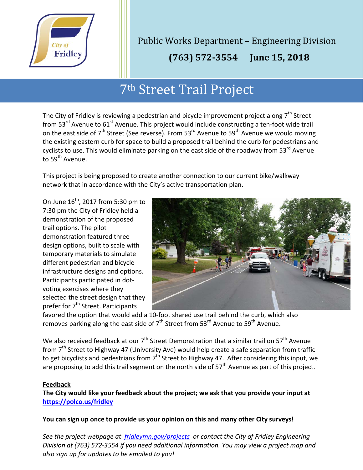

Public Works Department – Engineering Division

 **(763) 572-3554 June 15, 2018**

ׇ֦֘

## 7th Street Trail Project

The City of Fridley is reviewing a pedestrian and bicycle improvement project along  $7<sup>th</sup>$  Street from 53<sup>rd</sup> Avenue to 61<sup>st</sup> Avenue. This project would include constructing a ten-foot wide trail on the east side of  $7<sup>th</sup>$  Street (See reverse). From 53<sup>rd</sup> Avenue to 59<sup>th</sup> Avenue we would moving the existing eastern curb for space to build a proposed trail behind the curb for pedestrians and cyclists to use. This would eliminate parking on the east side of the roadway from 53<sup>rd</sup> Avenue to 59<sup>th</sup> Avenue.

This project is being proposed to create another connection to our current bike/walkway network that in accordance with the City's active transportation plan.

On June  $16^{th}$ , 2017 from 5:30 pm to 7:30 pm the City of Fridley held a demonstration of the proposed trail options. The pilot demonstration featured three design options, built to scale with temporary materials to simulate different pedestrian and bicycle infrastructure designs and options. Participants participated in dotvoting exercises where they selected the street design that they prefer for 7<sup>th</sup> Street. Participants



favored the option that would add a 10-foot shared use trail behind the curb, which also removes parking along the east side of  $7<sup>th</sup>$  Street from 53<sup>rd</sup> Avenue to 59<sup>th</sup> Avenue.

We also received feedback at our  $7<sup>th</sup>$  Street Demonstration that a similar trail on 57<sup>th</sup> Avenue from 7<sup>th</sup> Street to Highway 47 (University Ave) would help create a safe separation from traffic to get bicyclists and pedestrians from  $7<sup>th</sup>$  Street to Highway 47. After considering this input, we are proposing to add this trail segment on the north side of  $57<sup>th</sup>$  Avenue as part of this project.

## **Feedback**

**The City would like your feedback about the project; we ask that you provide your input at <https://polco.us/fridley>**

**You can sign up once to provide us your opinion on this and many other City surveys!**

*See the project webpage at [fridleymn.gov/projects](http://fridleymn.gov/projects) or contact the City of Fridley Engineering Division at (763) 572-3554 if you need additional information. You may view a project map and also sign up for updates to be emailed to you!*